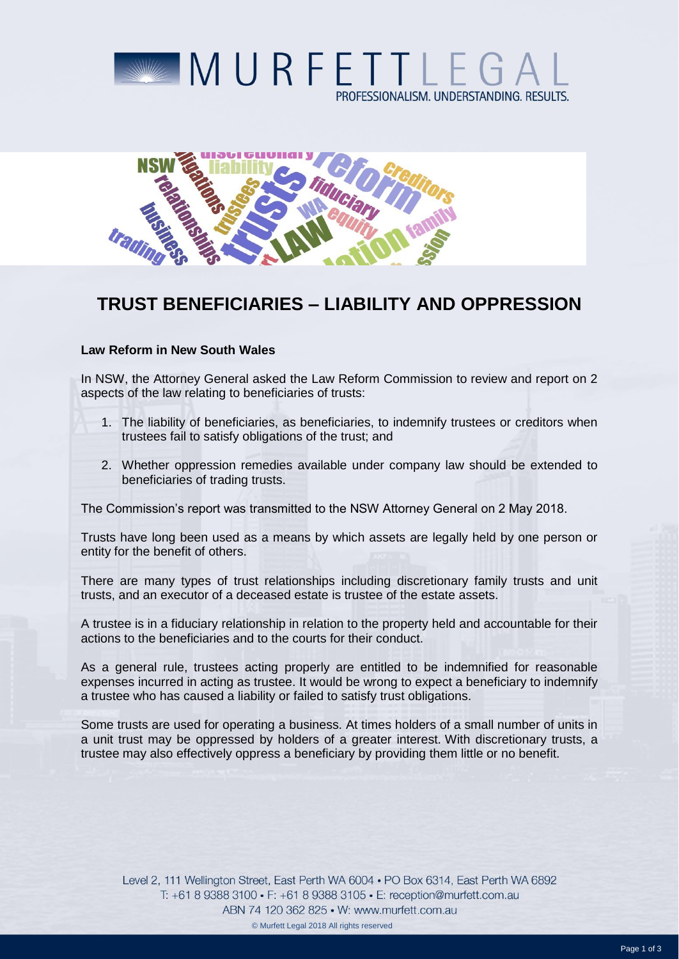



## **TRUST BENEFICIARIES – LIABILITY AND OPPRESSION**

## **Law Reform in New South Wales**

In NSW, the Attorney General asked the Law Reform Commission to review and report on 2 aspects of the law relating to beneficiaries of trusts:

- 1. The liability of beneficiaries, as beneficiaries, to indemnify trustees or creditors when trustees fail to satisfy obligations of the trust; and
- 2. Whether oppression remedies available under company law should be extended to beneficiaries of trading trusts.

The Commission's report was transmitted to the NSW Attorney General on 2 May 2018.

Trusts have long been used as a means by which assets are legally held by one person or entity for the benefit of others.

There are many types of trust relationships including discretionary family trusts and unit trusts, and an executor of a deceased estate is trustee of the estate assets.

A trustee is in a fiduciary relationship in relation to the property held and accountable for their actions to the beneficiaries and to the courts for their conduct.

As a general rule, trustees acting properly are entitled to be indemnified for reasonable expenses incurred in acting as trustee. It would be wrong to expect a beneficiary to indemnify a trustee who has caused a liability or failed to satisfy trust obligations.

Some trusts are used for operating a business. At times holders of a small number of units in a unit trust may be oppressed by holders of a greater interest. With discretionary trusts, a trustee may also effectively oppress a beneficiary by providing them little or no benefit.

Level 2, 111 Wellington Street, East Perth WA 6004 . PO Box 6314, East Perth WA 6892 T: +61 8 9388 3100 • F: +61 8 9388 3105 • E: reception@murfett.com.au ABN 74 120 362 825 • W: www.murfett.com.au © Murfett Legal 2018 All rights reserved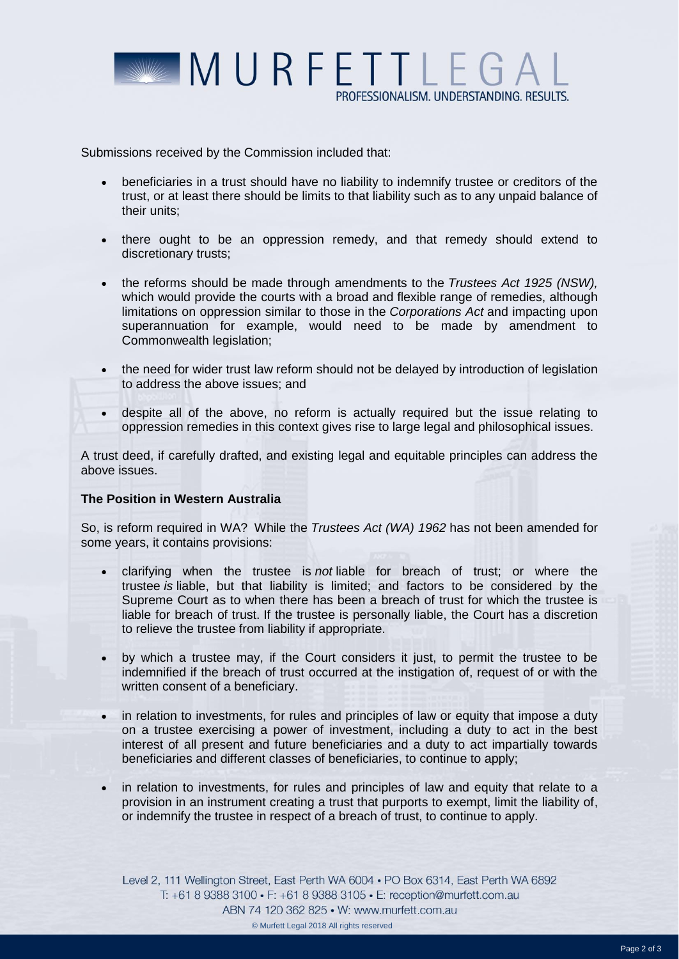

Submissions received by the Commission included that:

- beneficiaries in a trust should have no liability to indemnify trustee or creditors of the trust, or at least there should be limits to that liability such as to any unpaid balance of their units;
- there ought to be an oppression remedy, and that remedy should extend to discretionary trusts;
- the reforms should be made through amendments to the *Trustees Act 1925 (NSW),* which would provide the courts with a broad and flexible range of remedies, although limitations on oppression similar to those in the *Corporations Act* and impacting upon superannuation for example, would need to be made by amendment to Commonwealth legislation;
- the need for wider trust law reform should not be delayed by introduction of legislation to address the above issues; and
- despite all of the above, no reform is actually required but the issue relating to oppression remedies in this context gives rise to large legal and philosophical issues.

A trust deed, if carefully drafted, and existing legal and equitable principles can address the above issues.

## **The Position in Western Australia**

So, is reform required in WA? While the *Trustees Act (WA) 1962* has not been amended for some years, it contains provisions:

- clarifying when the trustee is *not* liable for breach of trust; or where the trustee *is* liable, but that liability is limited; and factors to be considered by the Supreme Court as to when there has been a breach of trust for which the trustee is liable for breach of trust. If the trustee is personally liable, the Court has a discretion to relieve the trustee from liability if appropriate.
- by which a trustee may, if the Court considers it just, to permit the trustee to be indemnified if the breach of trust occurred at the instigation of, request of or with the written consent of a beneficiary.
- in relation to investments, for rules and principles of law or equity that impose a duty on a trustee exercising a power of investment, including a duty to act in the best interest of all present and future beneficiaries and a duty to act impartially towards beneficiaries and different classes of beneficiaries, to continue to apply;
- in relation to investments, for rules and principles of law and equity that relate to a provision in an instrument creating a trust that purports to exempt, limit the liability of, or indemnify the trustee in respect of a breach of trust, to continue to apply.

Level 2, 111 Wellington Street, East Perth WA 6004 . PO Box 6314, East Perth WA 6892 T: +61 8 9388 3100 • F: +61 8 9388 3105 • E: reception@murfett.com.au ABN 74 120 362 825 • W: www.murfett.com.au © Murfett Legal 2018 All rights reserved